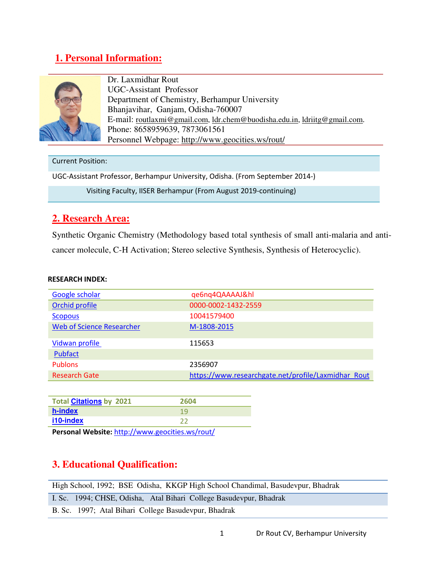## **1. Personal Information:**



Dr. Laxmidhar Rout UGC-Assistant Professor Department of Chemistry, Berhampur University Bhanjavihar, Ganjam, Odisha-760007 E-mail: routlaxmi@gmail.com, ldr.chem@buodisha.edu.in, ldriitg@gmail.com. Phone: 8658959639, 7873061561 Personnel Webpage: http://www.geocities.ws/rout/

#### Current Position:

UGC-Assistant Professor, Berhampur University, Odisha. (From September 2014-)

Visiting Faculty, IISER Berhampur (From August 2019-continuing)

## **2. Research Area:**

Synthetic Organic Chemistry (Methodology based total synthesis of small anti-malaria and anticancer molecule, C-H Activation; Stereo selective Synthesis, Synthesis of Heterocyclic).

#### **RESEARCH INDEX:**

| Google scholar                   | qe6nq4QAAAAJ&hl                                     |
|----------------------------------|-----------------------------------------------------|
| Orchid profile                   | 0000-0002-1432-2559                                 |
| <b>Scopous</b>                   | 10041579400                                         |
| <b>Web of Science Researcher</b> | M-1808-2015                                         |
| Vidwan profile                   | 115653                                              |
| Pubfact                          |                                                     |
| <b>Publons</b>                   | 2356907                                             |
| <b>Research Gate</b>             | https://www.researchgate.net/profile/Laxmidhar Rout |

| <b>Total Citations by 2021</b> | 2604 |
|--------------------------------|------|
| h-index                        | 1 Y  |
| i10-index                      |      |
|                                |      |

**Personal Website:** http://www.geocities.ws/rout/

## **3. Educational Qualification:**

| High School, 1992; BSE Odisha, KKGP High School Chandimal, Basudevpur, Bhadrak |
|--------------------------------------------------------------------------------|
| I. Sc. 1994; CHSE, Odisha, Atal Bihari College Basudevpur, Bhadrak             |
| B. Sc. 1997; Atal Bihari College Basudevpur, Bhadrak                           |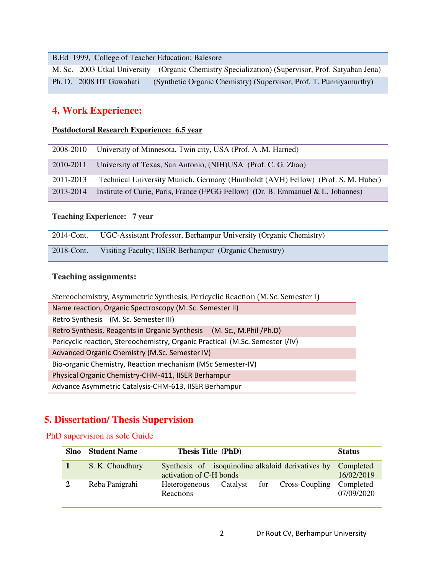B.Ed 1999, College of Teacher Education; Balesore

M. Sc. 2003 Utkal University (Organic Chemistry Specialization) (Supervisor, Prof. Satyaban Jena) Ph. D. 2008 IIT Guwahati (Synthetic Organic Chemistry) (Supervisor, Prof. T. Punniyamurthy)

## **4. Work Experience:**

#### **Postdoctoral Research Experience: 6.5 year**

| 2008-2010 | University of Minnesota, Twin city, USA (Prof. A.M. Harned)                      |
|-----------|----------------------------------------------------------------------------------|
| 2010-2011 | University of Texas, San Antonio, (NIH) USA (Prof. C. G. Zhao)                   |
| 2011-2013 | Technical University Munich, Germany (Humboldt (AVH) Fellow) (Prof. S. M. Huber) |
| 2013-2014 | Institute of Curie, Paris, France (FPGG Fellow) (Dr. B. Emmanuel & L. Johannes)  |

#### **Teaching Experience: 7 year**

| 2014-Cont. | UGC-Assistant Professor, Berhampur University (Organic Chemistry) |
|------------|-------------------------------------------------------------------|
| 2018-Cont. | Visiting Faculty; IISER Berhampur (Organic Chemistry)             |

#### **Teaching assignments:**

| Stereochemistry, Asymmetric Synthesis, Pericyclic Reaction (M. Sc. Semester I) |  |  |
|--------------------------------------------------------------------------------|--|--|
| Name reaction, Organic Spectroscopy (M. Sc. Semester II)                       |  |  |
| Retro Synthesis (M. Sc. Semester III)                                          |  |  |
| Retro Synthesis, Reagents in Organic Synthesis (M. Sc., M.Phil /Ph.D)          |  |  |
| Pericyclic reaction, Stereochemistry, Organic Practical (M.Sc. Semester I/IV)  |  |  |
| Advanced Organic Chemistry (M.Sc. Semester IV)                                 |  |  |
| Bio-organic Chemistry, Reaction mechanism (MSc Semester-IV)                    |  |  |
| Physical Organic Chemistry-CHM-411, IISER Berhampur                            |  |  |
| Advance Asymmetric Catalysis-CHM-613, IISER Berhampur                          |  |  |

# **5. Dissertation/ Thesis Supervision**

### **PhD** supervision as sole Guide

| Slno | <b>Student Name</b> | Thesis Title (PhD)                                                                     | <b>Status</b> |
|------|---------------------|----------------------------------------------------------------------------------------|---------------|
|      | S. K. Choudhury     | Synthesis of isoquinoline alkaloid derivatives by Completed<br>activation of C-H bonds | 16/02/2019    |
|      | Reba Panigrahi      | Heterogeneous Catalyst for Cross-Coupling Completed<br><b>Reactions</b>                | 07/09/2020    |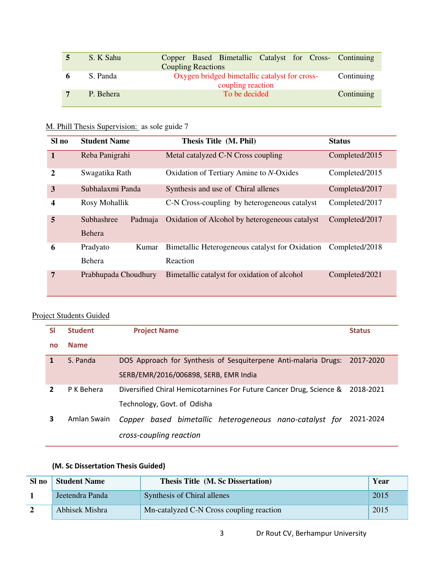|   | S. K Sahu | Copper Based Bimetallic Catalyst for Cross- Continuing |            |
|---|-----------|--------------------------------------------------------|------------|
|   |           | <b>Coupling Reactions</b>                              |            |
| 6 | S. Panda  | Oxygen bridged bimetallic catalyst for cross-          | Continuing |
|   |           | coupling reaction                                      |            |
|   | P. Behera | To be decided                                          | Continuing |
|   |           |                                                        |            |

# M. Phill Thesis Supervision: as sole guide 7

| Sl no        | <b>Student Name</b>             | Thesis Title (M. Phil)                          | <b>Status</b>  |
|--------------|---------------------------------|-------------------------------------------------|----------------|
| $\mathbf{1}$ | Reba Panigrahi                  | Metal catalyzed C-N Cross coupling              | Completed/2015 |
| $\mathbf{2}$ | Swagatika Rath                  | Oxidation of Tertiary Amine to N-Oxides         | Completed/2015 |
| 3            | Subhalaxmi Panda                | Synthesis and use of Chiral allenes             | Completed/2017 |
| 4            | Rosy Mohallik                   | C-N Cross-coupling by heterogeneous catalyst    | Completed/2017 |
| 5            | Subhashree<br>Padmaja<br>Behera | Oxidation of Alcohol by heterogeneous catalyst  | Completed/2017 |
| 6            | Pradyato<br>Kumar               | Bimetallic Heterogeneous catalyst for Oxidation | Completed/2018 |
|              | <b>Behera</b>                   | Reaction                                        |                |
| 7            | Prabhupada Choudhury            | Bimetallic catalyst for oxidation of alcohol    | Completed/2021 |

## Project Students Guided

| <b>SI</b>    | <b>Student</b> | <b>Project Name</b>                                                 | <b>Status</b> |
|--------------|----------------|---------------------------------------------------------------------|---------------|
| no           | <b>Name</b>    |                                                                     |               |
| $\mathbf{1}$ | S. Panda       | DOS Approach for Synthesis of Sesquiterpene Anti-malaria Drugs:     | 2017-2020     |
|              |                | SERB/EMR/2016/006898, SERB, EMR India                               |               |
| 2            | P K Behera     | Diversified Chiral Hemicotarnines For Future Cancer Drug, Science & | 2018-2021     |
|              |                | Technology, Govt. of Odisha                                         |               |
| 3            | Amlan Swain    | Copper based bimetallic heterogeneous nano-catalyst for             | 2021-2024     |
|              |                | cross-coupling reaction                                             |               |

### **(M. Sc Dissertation Thesis Guided)**

| Sl no          | <b>Student Name</b> | <b>Thesis Title (M. Sc Dissertation)</b> | Year |
|----------------|---------------------|------------------------------------------|------|
|                | Jeetendra Panda     | Synthesis of Chiral allenes              | 2015 |
| $\overline{2}$ | Abhisek Mishra      | Mn-catalyzed C-N Cross coupling reaction | 2015 |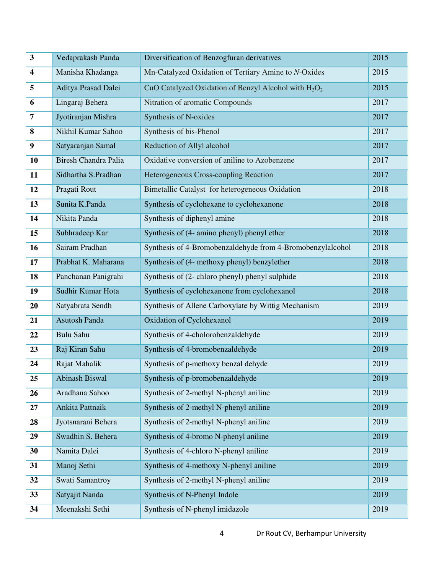| $\overline{\mathbf{3}}$ | Vedaprakash Panda           | Diversification of Benzogfuran derivatives                 | 2015 |
|-------------------------|-----------------------------|------------------------------------------------------------|------|
| $\overline{\mathbf{4}}$ | Manisha Khadanga            | Mn-Catalyzed Oxidation of Tertiary Amine to N-Oxides       | 2015 |
| 5                       | Aditya Prasad Dalei         | CuO Catalyzed Oxidation of Benzyl Alcohol with $H_2O_2$    | 2015 |
| 6                       | Lingaraj Behera             | Nitration of aromatic Compounds                            | 2017 |
| $\overline{7}$          | Jyotiranjan Mishra          | Synthesis of N-oxides                                      | 2017 |
| 8                       | Nikhil Kumar Sahoo          | Synthesis of bis-Phenol                                    | 2017 |
| $\boldsymbol{9}$        | Satyaranjan Samal           | Reduction of Allyl alcohol                                 | 2017 |
| 10                      | <b>Biresh Chandra Palia</b> | Oxidative conversion of aniline to Azobenzene              | 2017 |
| 11                      | Sidhartha S.Pradhan         | Heterogeneous Cross-coupling Reaction                      | 2017 |
| 12                      | Pragati Rout                | Bimetallic Catalyst for heterogeneous Oxidation            | 2018 |
| 13                      | Sunita K.Panda              | Synthesis of cyclohexane to cyclohexanone                  | 2018 |
| 14                      | Nikita Panda                | Synthesis of diphenyl amine                                | 2018 |
| 15                      | Subhradeep Kar              | Synthesis of (4- amino phenyl) phenyl ether                | 2018 |
| 16                      | Sairam Pradhan              | Synthesis of 4-Bromobenzaldehyde from 4-Bromobenzylalcohol | 2018 |
| 17                      | Prabhat K. Maharana         | Synthesis of (4- methoxy phenyl) benzylether               | 2018 |
| 18                      | Panchanan Panigrahi         | Synthesis of (2- chloro phenyl) phenyl sulphide            | 2018 |
| 19                      | Sudhir Kumar Hota           | Synthesis of cyclohexanone from cyclohexanol               | 2018 |
| 20                      | Satyabrata Sendh            | Synthesis of Allene Carboxylate by Wittig Mechanism        | 2019 |
| 21                      | Asutosh Panda               | Oxidation of Cyclohexanol                                  | 2019 |
| 22                      | <b>Bulu Sahu</b>            | Synthesis of 4-cholorobenzaldehyde                         | 2019 |
| 23                      | Raj Kiran Sahu              | Synthesis of 4-bromobenzaldehyde                           | 2019 |
| 24                      | Rajat Mahalik               | Synthesis of p-methoxy benzal dehyde                       | 2019 |
| 25                      | <b>Abinash Biswal</b>       | Synthesis of p-bromobenzaldehyde                           | 2019 |
| 26                      | Aradhana Sahoo              | Synthesis of 2-methyl N-phenyl aniline                     | 2019 |
| 27                      | Ankita Pattnaik             | Synthesis of 2-methyl N-phenyl aniline                     | 2019 |
| 28                      | Jyotsnarani Behera          | Synthesis of 2-methyl N-phenyl aniline                     | 2019 |
| 29                      | Swadhin S. Behera           | Synthesis of 4-bromo N-phenyl aniline                      | 2019 |
| 30                      | Namita Dalei                | Synthesis of 4-chloro N-phenyl aniline                     | 2019 |
| 31                      | Manoj Sethi                 | Synthesis of 4-methoxy N-phenyl aniline                    | 2019 |
| 32                      | Swati Samantroy             | Synthesis of 2-methyl N-phenyl aniline                     | 2019 |
| 33                      | Satyajit Nanda              | Synthesis of N-Phenyl Indole                               | 2019 |
| 34                      | Meenakshi Sethi             | Synthesis of N-phenyl imidazole                            | 2019 |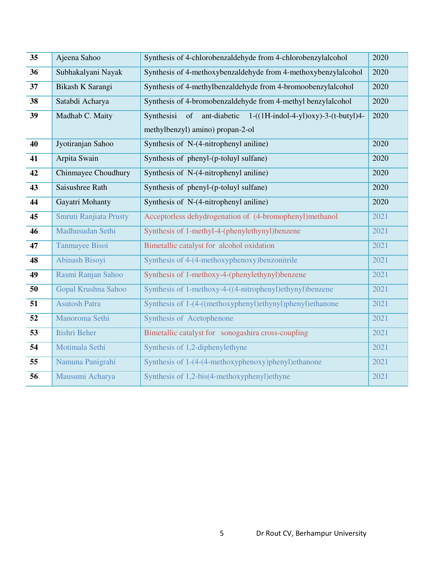| 35 | Ajeena Sahoo           | Synthesis of 4-chlorobenzaldehyde from 4-chlorobenzylalcohol               | 2020 |
|----|------------------------|----------------------------------------------------------------------------|------|
| 36 | Subhakalyani Nayak     | Synthesis of 4-methoxybenzaldehyde from 4-methoxybenzylalcohol             | 2020 |
| 37 | Bikash K Sarangi       | Synthesis of 4-methylbenzaldehyde from 4-bromoobenzylalcohol               | 2020 |
| 38 | Satabdi Acharya        | Synthesis of 4-bromobenzaldehyde from 4-methyl benzylalcohol               | 2020 |
| 39 | Madhab C. Maity        | ant-diabetic<br>$1-((1H-indol-4-yl)oxy)-3-(t-butyl)4-$<br>Synthesisi<br>of | 2020 |
|    |                        | methylbenzyl) amino) propan-2-ol                                           |      |
| 40 | Jyotiranjan Sahoo      | Synthesis of N-(4-nitrophenyl aniline)                                     | 2020 |
| 41 | Arpita Swain           | Synthesis of phenyl-(p-toluyl sulfane)                                     | 2020 |
| 42 | Chinmayee Choudhury    | Synthesis of N-(4-nitrophenyl aniline)                                     | 2020 |
| 43 | Saisushree Rath        | Synthesis of phenyl-(p-toluyl sulfane)                                     | 2020 |
| 44 | Gayatri Mohanty        | Synthesis of N-(4-nitrophenyl aniline)                                     | 2020 |
| 45 | Smruti Ranjiata Prusty | Acceptorless dehydrogenation of (4-bromophenyl)methanol                    | 2021 |
| 46 | Madhusudan Sethi       | Synthesis of 1-methyl-4-(phenylethynyl)benzene                             | 2021 |
| 47 | Tanmayee Bisoi         | Bimetallic catalyst for alcohol oxidation                                  | 2021 |
| 48 | Abinash Bisoyi         | Synthesis of 4-(4-methoxyphenoxy)benzonitrile                              | 2021 |
| 49 | Rasmi Ranjan Sahoo     | Synthesis of 1-methoxy-4-(phenylethynyl)benzene                            | 2021 |
| 50 | Gopal Krushna Sahoo    | Synthesis of 1-methoxy-4-((4-nitrophenyl)ethynyl)benzene                   | 2021 |
| 51 | <b>Asutosh Patra</b>   | Synthesis of 1-(4-((methoxyphenyl)ethynyl)phenyl)ethanone                  | 2021 |
| 52 | Manoroma Sethi         | Synthesis of Acetophenone                                                  | 2021 |
| 53 | Itishri Beher          | Bimetallic catalyst for sonogashira cross-coupling                         | 2021 |
| 54 | Motimala Sethi         | Synthesis of 1,2-diphenylethyne                                            | 2021 |
| 55 | Namuna Panigrahi       | Synthesis of 1-(4-(4-methoxyphenoxy)phenyl)ethanone                        | 2021 |
| 56 | Mausumi Acharya        | Synthesis of 1,2-bis(4-methoxyphenyl)ethyne                                | 2021 |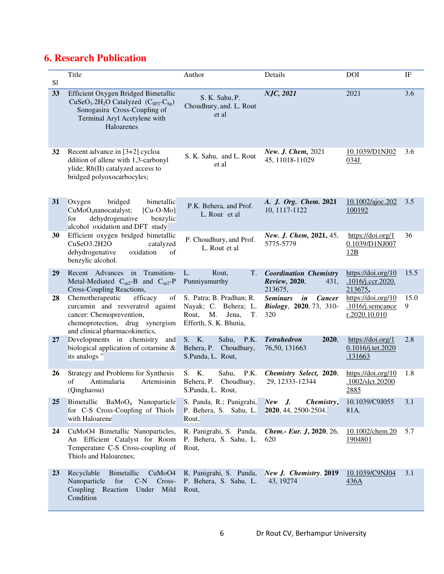# **6. Research Publication**

| S1 | Title                                                                                                                                                                                           | Author                                                                                                   | Details                                                                                  | <b>DOI</b>                                                     | IF        |
|----|-------------------------------------------------------------------------------------------------------------------------------------------------------------------------------------------------|----------------------------------------------------------------------------------------------------------|------------------------------------------------------------------------------------------|----------------------------------------------------------------|-----------|
| 33 | Efficient Oxygen Bridged Bimetallic<br>$CuSeO3$ .2H <sub>2</sub> O Catalyzed (C <sub>SP2</sub> -C <sub>Sp</sub> )<br>Sonogasira Cross-Coupling of<br>Terminal Aryl Acetylene with<br>Haloarenes | S. K. Sahu, P.<br>Choudhury, and. L. Rout<br>et al                                                       | NJC, 2021                                                                                | 2021                                                           | 3.6       |
| 32 | Recent advance in [3+2] cycloa<br>ddition of allene with 1,3-carbonyl<br>ylide; Rh(II) catalyzed access to<br>bridged polyoxocarbocyles;                                                        | S. K. Sahu, and L. Rout<br>et al                                                                         | New. J. Chem, 2021<br>45, 11018-11029                                                    | 10.1039/D1NJ02<br>034J                                         | 3.6       |
| 31 | bridged<br>bimetallic<br>Oxygen<br>CuMoO <sub>4</sub> nanocatalyst;<br>$[Cu-O-Mo]$<br>dehydrogenative<br>benzylic<br>for<br>alcohol oxidation and DFT study                                     | P.K. Behera, and Prof.<br>L. Rout et al                                                                  | A. J. Org. Chem. 2021<br>10, 1117-1122                                                   | 10.1002/ajoc.202<br>100192                                     | 3.5       |
| 30 | Efficient oxygen bridged bimetallic<br>CuSeO3.2H2O<br>catalyzed<br>dehydrogenative<br>oxidation<br>of<br>benzylic alcohol.                                                                      | P. Choudhury, and Prof.<br>L. Rout et al                                                                 | New. J. Chem, 2021, 45,<br>5775-5779                                                     | https://doi.org/1<br>0.1039/D1NJ007<br>12B                     | 36        |
| 29 | Recent Advances in<br>Transition-<br>Metal-Mediated $C_{sp2}$ -B and $C_{sp2}$ -P<br>Cross-Coupling Reactions,                                                                                  | L.<br>Rout,<br>Т.<br>Punniyamurthy                                                                       | <b>Coordination Chemistry</b><br>Review, 2020,<br>431,<br>213675,                        | $\frac{https://doi.org/10}{?}$<br>.1016/j.ccr.2020.<br>213675, | 15.5      |
| 28 | Chemotherapeutic<br>efficacy<br>of<br>curcumin and resveratrol against<br>cancer: Chemoprevention,<br>chemoprotection, drug synergism<br>and clinical pharmacokinetics,                         | S. Patra; B. Pradhan; R.<br>Nayak; C. Behera; L.<br>M.<br>Rout,<br>Jena,<br>T.<br>Efferth, S. K. Bhutia, | $\dot{\mathbf{m}}$<br><b>Cancer</b><br><b>Seminars</b><br>Biology, 2020, 73, 310-<br>320 | https://doi.org/10<br>.1016/j.semcance<br>r.2020.10.010        | 15.0<br>9 |
| 27 | Developments in chemistry and<br>biological application of cotarnine $\&$<br>its analogs"                                                                                                       | S. K.<br>P.K.<br>Sahu,<br>Behera, P. Choudhury,<br>S.Panda, L. Rout,                                     | <b>Tetrahedron</b><br>2020,<br>76, 50, 131663                                            | https://doi.org/1<br>0.1016/j.tet.2020<br>.131663              | 2.8       |
| 26 | Strategy and Problems for Synthesis<br>Antimalaria<br>Artemisinin<br>of<br>(Qinghaosu)                                                                                                          | S. K.<br>P.K.<br>Sahu,<br>Behera, P. Choudhury,<br>S.Panda, L. Rout,                                     | Chemistry Select, 2020,<br>29, 12333-12344                                               | https://doi.org/10<br>.1002/slct.20200<br>2885                 | 1.8       |
| 25 | Bimetallic BaMoO <sub>4</sub> Nanoparticle<br>for C-S Cross-Coupling of Thiols<br>with Haloarene                                                                                                | S. Panda, R.; Panigrahi,<br>P. Behera, S. Sahu, L.<br>Rout,                                              | $New$ J.<br>Chemistry,<br>2020, 44, 2500-2504.                                           | 10.1039/C9J055<br>81A.                                         | 3.1       |
| 24 | CuMoO4 Bimetallic Nanoparticles,<br>An Efficient Catalyst for Room<br>Temperature C-S Cross-coupling of<br>Thiols and Haloarenes;                                                               | R. Panigrahi, S. Panda,<br>P. Behera, S. Sahu, L.<br>Rout,                                               | Chem.- Eur. J, 2020, 26,<br>620                                                          | 10.1002/chem.20<br>1904801                                     | 5.7       |
| 23 | Recyclable<br>Bimetallic<br>CuMoO4<br>for<br>Nanoparticle<br>$C-N$<br>Cross-<br>Coupling Reaction<br>Under<br>Mild<br>Condition                                                                 | R. Panigrahi, S. Panda,<br>P. Behera, S. Sahu, L.<br>Rout,                                               | New J. Chemistry, 2019<br>43, 19274                                                      | 10.1039/C9NJ04<br><u>436A</u>                                  | 3.1       |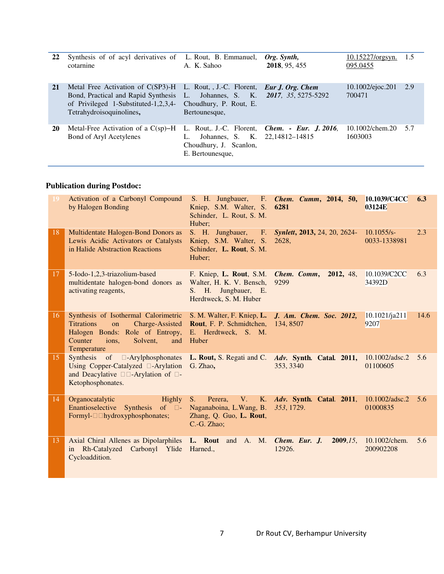| 22 | Synthesis of of acyl derivatives of L. Rout, B. Emmanuel,<br>cotarnine                                                                          | A. K. Sahoo                                                                                                                           | Org. Synth,<br>2018, 95, 455        | <u>10.15227/orgsyn.</u><br>095.0455 | 1.5 |
|----|-------------------------------------------------------------------------------------------------------------------------------------------------|---------------------------------------------------------------------------------------------------------------------------------------|-------------------------------------|-------------------------------------|-----|
| 21 | Metal Free Activation of C(SP3)-H<br>Bond, Practical and Rapid Synthesis L.<br>of Privileged 1-Substituted-1,2,3,4-<br>Tetrahydroisoquinolines, | L. Rout, J.-C. Florent, <i>Eur J. Org. Chem</i><br>Choudhury, P. Rout, E.<br>Bertounesque,                                            | Johannes, S. K. 2017, 35, 5275-5292 | $10.1002$ /ejoc.201<br>700471       | 2.9 |
| 20 | Metal-Free Activation of a $C(sp)$ -H<br>Bond of Aryl Acetylenes                                                                                | L. Rout, J.-C. Florent, <i>Chem. - Eur. J. 2016</i> ,<br>Johannes, S. K. 22,14812-14815<br>Choudhury, J. Scanlon,<br>E. Bertounesque, |                                     | $10.1002$ /chem.20<br>1603003       | 5.7 |

## **Publication during Postdoc:**

| 19 | Activation of a Carbonyl Compound<br>by Halogen Bonding                                                                                                                     | Kniep, S.M. Walter, S.<br>Schinder, L. Rout, S. M.<br>Huber;                                         | S. H. Jungbauer, F. <i>Chem. Cumm</i> , 2014, 50,<br>6281                         | 10.1039/C4CC<br>6.3<br>03124E        |
|----|-----------------------------------------------------------------------------------------------------------------------------------------------------------------------------|------------------------------------------------------------------------------------------------------|-----------------------------------------------------------------------------------|--------------------------------------|
| 18 | Multidentate Halogen-Bond Donors as<br>Lewis Acidic Activators or Catalysts<br>in Halide Abstraction Reactions                                                              | S. H. Jungbauer, F.<br>Kniep, S.M. Walter, S.<br>Schinder, L. Rout, S. M.<br>Huber;                  | <b>Synlett, 2013, 24, 20, 2624-</b><br>2628,                                      | 2.3<br>10.1055/s<br>0033-1338981     |
| 17 | 5-Iodo-1,2,3-triazolium-based<br>multidentate halogen-bond donors as<br>activating reagents,                                                                                | F. Kniep, L. Rout, S.M.<br>Walter, H. K. V. Bensch,<br>S. H. Jungbauer, E.<br>Herdtweck, S. M. Huber | Chem. Comm,<br>2012, 48,<br>9299                                                  | 10.1039/C2CC<br>6.3<br>34392D        |
| 16 | Synthesis of Isothermal Calorimetric<br>Charge-Assisted<br><b>Titrations</b><br>on<br>Halogen Bonds: Role of Entropy,<br>Counter<br>ions.<br>Solvent,<br>and<br>Temperature | S. M. Walter, F. Kniep, L.<br>Rout, F. P. Schmidtchen,<br>E. Herdtweck, S. M.<br>Huber               | J. Am. Chem. Soc. 2012,<br>134, 8507                                              | $10.1021$ /ja211<br>14.6<br>9207     |
| 15 | Synthesis of<br>Using Copper-Catalyzed -Arylation G. Zhao,<br>-Arylation of -<br>and Deacylative<br>Ketophosphonates.                                                       |                                                                                                      | -Arylphosphonates L. Rout, S. Regati and C. Adv. Synth. Catal. 2011,<br>353, 3340 | $10.1002/a$ dsc.2<br>5.6<br>01100605 |
| 14 | Highly<br>Organocatalytic<br>Enantioselective Synthesis of -<br>Formyl-<br>hydroxyphosphonates;                                                                             | S.<br>Perera,<br>V.<br>Naganaboina, L.Wang, B.<br>Zhang, Q. Guo, L. Rout,<br>C.-G. Zhao;             | K. Adv. Synth. Catal. 2011,<br>353, 1729.                                         | $10.1002/a$ dsc.2<br>5.6<br>01000835 |
| 13 | Axial Chiral Allenes as Dipolarphiles L. Rout and A. M. Chem. Eur. J.<br>Rh-Catalyzed Carbonyl Ylide Harned.,<br>in<br>Cycloaddition.                                       |                                                                                                      | 2009, 15,<br>12926.                                                               | 10.1002/chem.<br>5.6<br>200902208    |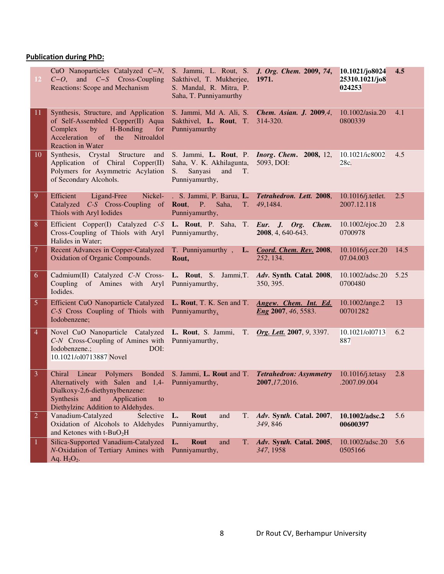## **Publication during PhD:**

| $12-$                    | CuO Nanoparticles Catalyzed C-N,<br>$C-O$ , and $C-S$ Cross-Coupling<br>Reactions: Scope and Mechanism                                                                                                    | S. Jammi, L. Rout, S. J. Org. Chem. 2009, 74,<br>Sakthivel, T. Mukherjee,<br>S. Mandal, R. Mitra, P.<br>Saha, T. Punniyamurthy             | 1971.                                               | 10.1021/jo8024<br>25310.1021/jo8<br>024253 | 4.5  |
|--------------------------|-----------------------------------------------------------------------------------------------------------------------------------------------------------------------------------------------------------|--------------------------------------------------------------------------------------------------------------------------------------------|-----------------------------------------------------|--------------------------------------------|------|
| 11.                      | Synthesis, Structure, and Application<br>of Self-Assembled Copper(II) Aqua<br>Complex by H-Bonding<br>for<br>Acceleration of<br>the<br>Nitroaldol<br><b>Reaction in Water</b>                             | S. Jammi, Md A. Ali, S. Chem. Asian. J. 2009,4,<br>Sakthivel, L. Rout, T. 314-320.<br>Punniyamurthy                                        |                                                     | 10.1002/asia.20<br>0800339                 | 4.1  |
| 10 <sup>°</sup>          | Synthesis, Crystal Structure and<br>Application of Chiral Copper(II)<br>Polymers for Asymmetric Acylation<br>of Secondary Alcohols.                                                                       | S. Jammi, L. Rout, P. <i>Inorg. Chem.</i> 2008, 12,<br>Saha, V. K. Akhilagunta, 5093, DOI:<br>Sanyasi<br>and<br>S.<br>T.<br>Punniyamurthy, |                                                     | 10.1021/ic8002<br>28c.                     | 4.5  |
| $\overline{9}$           | Efficient Ligand-Free<br>Nickel-<br>Catalyzed C-S Cross-Coupling of <b>Rout</b> , P. Saha,<br>Thiols with Aryl Iodides                                                                                    | . S. Jammi, P. Barua, L. Tetrahedron. Lett. 2008,<br>Punniyamurthy,                                                                        | T. 49,1484.                                         | $10.1016$ <i>j</i> .tetlet.<br>2007.12.118 | 2.5  |
| 8                        | Efficient Copper(I) Catalyzed C-S L. Rout, P. Saha, T. Eur. J. Org.<br>Cross-Coupling of Thiols with Aryl Punniyamurthy,<br>Halides in Water;                                                             |                                                                                                                                            | Chem.<br>2008, 4, 640-643.                          | 10.1002/ejoc.20<br>0700978                 | 2.8  |
| $\overline{\mathcal{L}}$ | <b>Recent Advances in Copper-Catalyzed</b><br>Oxidation of Organic Compounds.                                                                                                                             | T. Punniyamurthy, L. Coord. Chem. Rev. 2008,<br>Rout,                                                                                      | 252, 134.                                           | $10.1016$ /j.ccr.20<br>07.04.003           | 14.5 |
| 6                        | Cadmium(II) Catalyzed C-N Cross- L. Rout, S. Jammi, T. Adv. Synth. Catal. 2008,<br>Coupling of Amines with Aryl Punniyamurthy,<br>Iodides.                                                                |                                                                                                                                            | 350, 395.                                           | 10.1002/adsc.20<br>0700480                 | 5.25 |
| $\overline{5}$           | Efficient CuO Nanoparticle Catalyzed L. Rout, T. K. Sen and T.<br>C-S Cross Coupling of Thiols with Punniyamurthy,<br>Iodobenzene;                                                                        |                                                                                                                                            | Angew. Chem. Int. Ed.<br><i>Eng</i> 2007, 46, 5583. | 10.1002/ange.2<br>00701282                 | 13   |
| $\overline{4}$           | Novel CuO Nanoparticle Catalyzed L. Rout, S. Jammi, T. Org. Lett. 2007, 9, 3397.<br>C-N Cross-Coupling of Amines with<br>Iodobenzene.;<br>DOI:<br>10.1021/ol0713887 Novel                                 | Punniyamurthy,                                                                                                                             |                                                     | 10.1021/010713<br>887                      | 6.2  |
| 3                        | Chiral Linear Polymers Bonded<br>Alternatively with Salen and 1,4- Punniyamurthy,<br>Dialkoxy-2,6-diethynylbenzene:<br><b>Synthesis</b><br>and<br>Application<br>to<br>Diethylzinc Addition to Aldehydes. | S. Jammi, L. Rout and T. Tetrahedron: Asymmetry                                                                                            | 2007,17,2016.                                       | $10.1016$ /j.tetasy<br>.2007.09.004        | 2.8  |
| $\overline{2}$           | Vanadium-Catalyzed<br>Selective<br>Oxidation of Alcohols to Aldehydes<br>and Ketones with t-BuO <sub>2</sub> H                                                                                            | L.<br>Rout<br>and<br>T.<br>Punniyamurthy,                                                                                                  | Adv. Synth. Catal. 2007,<br>349, 846                | 10.1002/adsc.2<br>00600397                 | 5.6  |
| -1                       | Silica-Supported Vanadium-Catalyzed<br>N-Oxidation of Tertiary Amines with<br>Aq. $H_2O_2$ .                                                                                                              | <b>Rout</b><br>L.<br>and<br>Т.<br>Punniyamurthy,                                                                                           | Adv. Synth. Catal. 2005,<br>347, 1958               | 10.1002/adsc.20<br>0505166                 | 5.6  |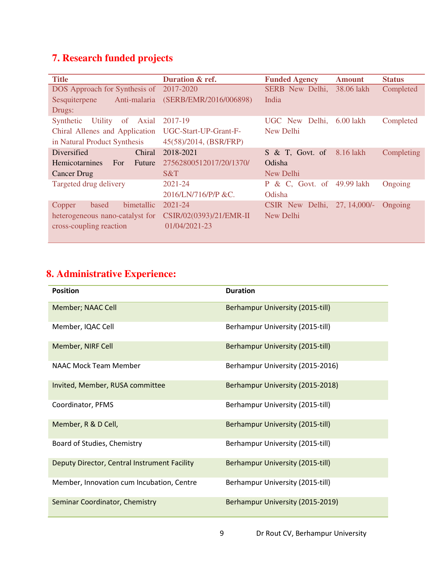# **7. Research funded projects**

| <b>Title</b>                                  | Duration & ref.         | <b>Funded Agency</b>           | <b>Amount</b>  | <b>Status</b> |
|-----------------------------------------------|-------------------------|--------------------------------|----------------|---------------|
| DOS Approach for Synthesis of                 | 2017-2020               | SERB New Delhi,                | 38.06 lakh     | Completed     |
| Anti-malaria<br>Sesquiterpene                 | (SERB/EMR/2016/006898)  | India                          |                |               |
| Drugs:                                        |                         |                                |                |               |
| <b>Utility</b><br>Synthetic<br>of<br>Axial    | 2017-19                 | Delhi,<br>UGC New              | 6.00 lakh      | Completed     |
| Chiral Allenes and Application                | UGC-Start-UP-Grant-F-   | New Delhi                      |                |               |
| in Natural Product Synthesis                  | 45(58)/2014, (BSR/FRP)  |                                |                |               |
| Chiral<br>Diversified                         | 2018-2021               | $S \& T$ , Govt. of            | 8.16 lakh      | Completing    |
| <b>Hemicotarnines</b><br><b>For</b><br>Future | 27562800512017/20/1370/ | Odisha                         |                |               |
| <b>Cancer Drug</b>                            | S&T                     | New Delhi                      |                |               |
| Targeted drug delivery                        | $2021 - 24$             | & C, Govt. of 49.99 lakh<br>P. |                | Ongoing       |
|                                               | 2016/LN/716/P/P &C.     | Odisha                         |                |               |
| bimetallic<br>based<br>Copper                 | $2021 - 24$             | CSIR New Delhi,                | $27, 14,000/-$ | Ongoing       |
| heterogeneous nano-catalyst for               | CSIR/02(0393)/21/EMR-II | New Delhi                      |                |               |
| cross-coupling reaction                       | 01/04/2021-23           |                                |                |               |
|                                               |                         |                                |                |               |

# **8. Administrative Experience:**

| <b>Position</b>                              | <b>Duration</b>                         |
|----------------------------------------------|-----------------------------------------|
| <b>Member; NAAC Cell</b>                     | Berhampur University (2015-till)        |
| Member, IQAC Cell                            | Berhampur University (2015-till)        |
| Member, NIRF Cell                            | <b>Berhampur University (2015-till)</b> |
| NAAC Mock Team Member                        | Berhampur University (2015-2016)        |
| Invited, Member, RUSA committee              | Berhampur University (2015-2018)        |
| Coordinator, PFMS                            | Berhampur University (2015-till)        |
| Member, R & D Cell,                          | <b>Berhampur University (2015-till)</b> |
| Board of Studies, Chemistry                  | Berhampur University (2015-till)        |
| Deputy Director, Central Instrument Facility | <b>Berhampur University (2015-till)</b> |
| Member, Innovation cum Incubation, Centre    | Berhampur University (2015-till)        |
| Seminar Coordinator, Chemistry               | Berhampur University (2015-2019)        |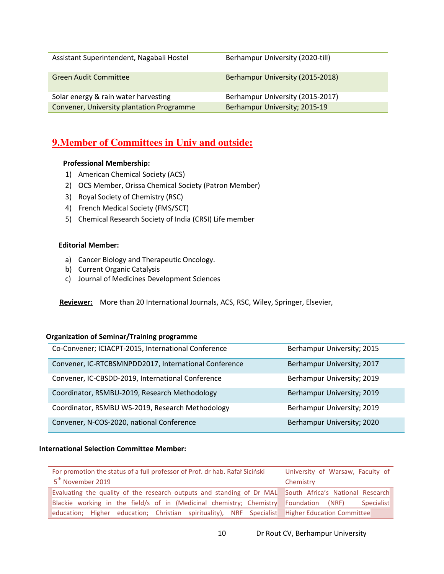| Assistant Superintendent, Nagabali Hostel | Berhampur University (2020-till) |
|-------------------------------------------|----------------------------------|
| <b>Green Audit Committee</b>              | Berhampur University (2015-2018) |
| Solar energy & rain water harvesting      | Berhampur University (2015-2017) |
| Convener, University plantation Programme | Berhampur University; 2015-19    |

## **9.Member of Committees in Univ and outside:**

#### **Professional Membership:**

- 1) American Chemical Society (ACS)
- 2) OCS Member, Orissa Chemical Society (Patron Member)
- 3) Royal Society of Chemistry (RSC)
- 4) French Medical Society (FMS/SCT)
- 5) Chemical Research Society of India (CRSI) Life member

#### **Editorial Member:**

- a) Cancer Biology and Therapeutic Oncology.
- b) Current Organic Catalysis
- c) Journal of Medicines Development Sciences

 **Reviewer:** More than 20 International Journals, ACS, RSC, Wiley, Springer, Elsevier,

#### **Organization of Seminar/Training programme**

| Co-Convener; ICIACPT-2015, International Conference   | Berhampur University; 2015 |
|-------------------------------------------------------|----------------------------|
| Convener, IC-RTCBSMNPDD2017, International Conference | Berhampur University; 2017 |
| Convener, IC-CBSDD-2019, International Conference     | Berhampur University; 2019 |
| Coordinator, RSMBU-2019, Research Methodology         | Berhampur University; 2019 |
| Coordinator, RSMBU WS-2019, Research Methodology      | Berhampur University; 2019 |
| Convener, N-COS-2020, national Conference             | Berhampur University; 2020 |

#### **International Selection Committee Member:**

| For promotion the status of a full professor of Prof. dr hab. Rafał Siciński<br>5 <sup>th</sup> November 2019 | University of Warsaw, Faculty of<br>Chemistry |
|---------------------------------------------------------------------------------------------------------------|-----------------------------------------------|
| Evaluating the quality of the research outputs and standing of Dr MAL South Africa's National Research        |                                               |
| Blackie working in the field/s of in (Medicinal chemistry; Chemistry                                          | Foundation<br>(NRF)<br><b>Specialist</b>      |
| education; Higher education; Christian spirituality), NRF Specialist Higher Education Committee               |                                               |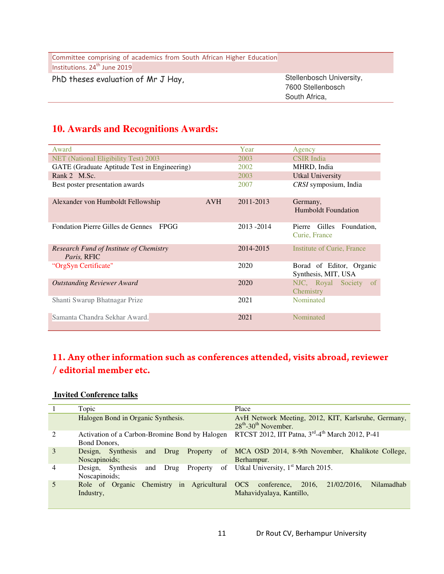| Institutions. 24 <sup>th</sup> June 2019<br>Stellenbosch University,<br>PhD theses evaluation of Mr J Hay,<br>7600 Stellenbosch | Committee comprising of academics from South African Higher Education |               |
|---------------------------------------------------------------------------------------------------------------------------------|-----------------------------------------------------------------------|---------------|
|                                                                                                                                 |                                                                       |               |
|                                                                                                                                 |                                                                       | South Africa, |

# **10. Awards and Recognitions Awards:**

| Award                                                         |            | Year      | Agency                                           |
|---------------------------------------------------------------|------------|-----------|--------------------------------------------------|
| NET (National Eligibility Test) 2003                          |            | 2003      | <b>CSIR</b> India                                |
| GATE (Graduate Aptitude Test in Engineering)                  |            | 2002      | MHRD, India                                      |
| Rank 2 M.Sc.                                                  |            | 2003      | <b>Utkal University</b>                          |
| Best poster presentation awards                               |            | 2007      | CRSI symposium, India                            |
| Alexander von Humboldt Fellowship                             | <b>AVH</b> | 2011-2013 | Germany,<br>Humboldt Foundation                  |
| <b>Fondation Pierre Gilles de Gennes</b><br>FPGG              |            | 2013-2014 | Pierre Gilles<br>Foundation,<br>Curie, France    |
| <b>Research Fund of Institute of Chemistry</b><br>Paris, RFIC |            | 2014-2015 | Institute of Curie, France                       |
| "OrgSyn Certificate"                                          |            | 2020      | Borad of Editor, Organic<br>Synthesis, MIT, USA  |
| <b>Outstanding Reviewer Award</b>                             |            | 2020      | NJC, Royal Society<br><sub>of</sub><br>Chemistry |
| Shanti Swarup Bhatnagar Prize                                 |            | 2021      | Nominated                                        |
| Samanta Chandra Sekhar Award.                                 |            | 2021      | Nominated                                        |

# 11. Any other information such as conferences attended, visits abroad, reviewer / editorial member etc.

#### **Invited Conference talks**

|                | Topic                                                                          | Place                                                                                        |
|----------------|--------------------------------------------------------------------------------|----------------------------------------------------------------------------------------------|
|                | Halogen Bond in Organic Synthesis.                                             | AvH Network Meeting, 2012, KIT, Karlsruhe, Germany,<br>$28^{th}$ -30 <sup>th</sup> November. |
| $\mathfrak{D}$ | Activation of a Carbon-Bromine Bond by Halogen<br>Bond Donors,                 | RTCST 2012, IIT Patna, 3rd-4 <sup>th</sup> March 2012, P-41                                  |
| 3              | Design, Synthesis<br>Property<br><sub>of</sub><br>and<br>Drug<br>Noscapinoids; | MCA OSD 2014, 8-9th November, Khalikote College,<br>Berhampur.                               |
| 4              | of<br>Design, Synthesis<br>Property<br>Drug<br>and<br>Noscapinoids;            | Utkal University, 1 <sup>st</sup> March 2015.                                                |
|                | Role of Organic Chemistry in Agricultural OCS<br>Industry,                     | 2016,<br>21/02/2016.<br>Nilamadhab<br>conference,<br>Mahavidyalaya, Kantillo,                |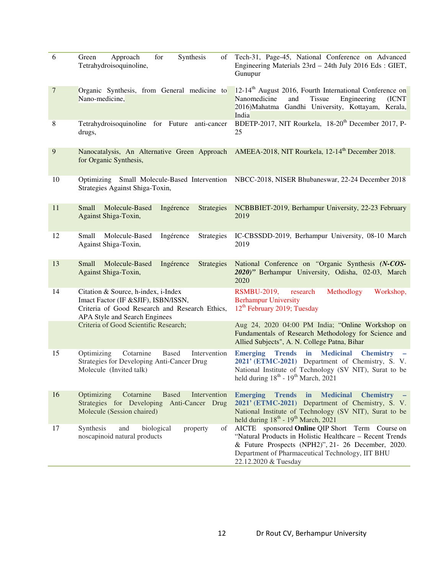| 6                | Synthesis<br>Green<br>Approach<br>for<br>οf<br>Tetrahydroisoquinoline,                                                                                         | Tech-31, Page-45, National Conference on Advanced<br>Engineering Materials 23rd - 24th July 2016 Eds : GIET,<br>Gunupur                                                                                                                              |
|------------------|----------------------------------------------------------------------------------------------------------------------------------------------------------------|------------------------------------------------------------------------------------------------------------------------------------------------------------------------------------------------------------------------------------------------------|
| $\boldsymbol{7}$ | Organic Synthesis, from General medicine to<br>Nano-medicine,                                                                                                  | 12-14 <sup>th</sup> August 2016, Fourth International Conference on<br>Nanomedicine<br>Tissue<br>and<br>Engineering<br>(ICNT)<br>2016) Mahatma Gandhi University, Kottayam, Kerala,<br>India                                                         |
| 8                | Tetrahydroisoquinoline for Future anti-cancer<br>drugs,                                                                                                        | BDETP-2017, NIT Rourkela, 18-20 <sup>th</sup> December 2017, P-<br>25                                                                                                                                                                                |
| 9                | for Organic Synthesis,                                                                                                                                         | Nanocatalysis, An Alternative Green Approach AMEEA-2018, NIT Rourkela, 12-14 <sup>th</sup> December 2018.                                                                                                                                            |
| 10               | Optimizing Small Molecule-Based Intervention<br>Strategies Against Shiga-Toxin,                                                                                | NBCC-2018, NISER Bhubaneswar, 22-24 December 2018                                                                                                                                                                                                    |
| 11               | Molecule-Based<br>Ingérence<br>Small<br><b>Strategies</b><br>Against Shiga-Toxin,                                                                              | NCBBBIET-2019, Berhampur University, 22-23 February<br>2019                                                                                                                                                                                          |
| 12               | Small<br>Molecule-Based<br>Ingérence<br>Strategies<br>Against Shiga-Toxin,                                                                                     | IC-CBSSDD-2019, Berhampur University, 08-10 March<br>2019                                                                                                                                                                                            |
| 13               | Small<br>Molecule-Based<br>Ingérence<br><b>Strategies</b><br>Against Shiga-Toxin,                                                                              | National Conference on "Organic Synthesis (N-COS-<br>2020)" Berhampur University, Odisha, 02-03, March<br>2020                                                                                                                                       |
| 14               | Citation & Source, h-index, i-Index<br>Imact Factor (IF & SJIF), ISBN/ISSN,<br>Criteria of Good Research and Research Ethics,<br>APA Style and Search Enginees | <b>RSMBU-2019,</b><br>research<br>Methodlogy<br>Workshop,<br><b>Berhampur University</b><br>12 <sup>th</sup> February 2019; Tuesday                                                                                                                  |
|                  | Criteria of Good Scientific Research;                                                                                                                          | Aug 24, 2020 04:00 PM India; "Online Workshop on<br>Fundamentals of Research Methodology for Science and<br>Allied Subjects", A. N. College Patna, Bihar                                                                                             |
| 15               | Cotarnine<br>Optimizing<br><b>Based</b><br>Intervention<br>Strategies for Developing Anti-Cancer Drug<br>Molecule (Invited talk)                               | <b>Trends</b> in Medicinal<br><b>Emerging</b><br><b>Chemistry</b><br>2021' (ETMC-2021) Department of Chemistry, S. V.<br>National Institute of Technology (SV NIT), Surat to be<br>held during $18^{th}$ - $19^{th}$ March, 2021                     |
| 16               | Cotarnine<br><b>Based</b><br>Intervention<br>Optimizing<br>Strategies for Developing Anti-Cancer Drug<br>Molecule (Session chaired)                            | <b>Emerging</b><br><b>Trends</b><br>in<br><b>Medicinal</b><br><b>Chemistry</b><br>2021' (ETMC-2021) Department of Chemistry, S. V.<br>National Institute of Technology (SV NIT), Surat to be<br>held during $18^{th}$ - $19^{th}$ March, 2021        |
| 17               | Synthesis<br>biological<br>of<br>and<br>property<br>noscapinoid natural products                                                                               | AICTE sponsored <b>Online QIP</b> Short Term Course on<br>"Natural Products in Holistic Healthcare - Recent Trends<br>& Future Prospects (NPH2)", 21- 26 December, 2020.<br>Department of Pharmaceutical Technology, IIT BHU<br>22.12.2020 & Tuesday |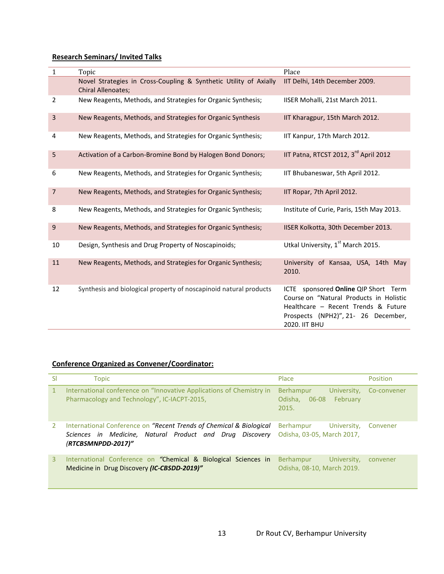### **Research Seminars/ Invited Talks**

| $\mathbf{1}$            | Topic                                                                                          | Place                                                                                                                                                                                           |
|-------------------------|------------------------------------------------------------------------------------------------|-------------------------------------------------------------------------------------------------------------------------------------------------------------------------------------------------|
|                         | Novel Strategies in Cross-Coupling & Synthetic Utility of Axially<br><b>Chiral Allenoates;</b> | IIT Delhi, 14th December 2009.                                                                                                                                                                  |
| $\overline{2}$          | New Reagents, Methods, and Strategies for Organic Synthesis;                                   | IISER Mohalli, 21st March 2011.                                                                                                                                                                 |
| $\overline{\mathbf{3}}$ | New Reagents, Methods, and Strategies for Organic Synthesis                                    | IIT Kharagpur, 15th March 2012.                                                                                                                                                                 |
| 4                       | New Reagents, Methods, and Strategies for Organic Synthesis;                                   | IIT Kanpur, 17th March 2012.                                                                                                                                                                    |
| 5                       | Activation of a Carbon-Bromine Bond by Halogen Bond Donors;                                    | IIT Patna, RTCST 2012, 3rd April 2012                                                                                                                                                           |
| 6                       | New Reagents, Methods, and Strategies for Organic Synthesis;                                   | IIT Bhubaneswar, 5th April 2012.                                                                                                                                                                |
| $\overline{7}$          | New Reagents, Methods, and Strategies for Organic Synthesis;                                   | IIT Ropar, 7th April 2012.                                                                                                                                                                      |
| 8                       | New Reagents, Methods, and Strategies for Organic Synthesis;                                   | Institute of Curie, Paris, 15th May 2013.                                                                                                                                                       |
| 9                       | New Reagents, Methods, and Strategies for Organic Synthesis;                                   | IISER Kolkotta, 30th December 2013.                                                                                                                                                             |
| 10                      | Design, Synthesis and Drug Property of Noscapinoids;                                           | Utkal University, 1st March 2015.                                                                                                                                                               |
| 11                      | New Reagents, Methods, and Strategies for Organic Synthesis;                                   | University of Kansaa, USA, 14th May<br>2010.                                                                                                                                                    |
| 12                      | Synthesis and biological property of noscapinoid natural products                              | sponsored Online QIP Short Term<br><b>ICTE</b><br>Course on "Natural Products in Holistic<br>Healthcare - Recent Trends & Future<br>Prospects (NPH2)", 21- 26 December,<br><b>2020. IIT BHU</b> |

## **Conference Organized as Convener/Coordinator:**

| Sl | Topic                                                                                                                                                 | Place                                                               | Position    |
|----|-------------------------------------------------------------------------------------------------------------------------------------------------------|---------------------------------------------------------------------|-------------|
|    | International conference on "Innovative Applications of Chemistry in<br>Pharmacology and Technology", IC-IACPT-2015,                                  | Berhampur<br>University,<br>February<br>Odisha.<br>$06-08$<br>2015. | Co-convener |
|    | International Conference on "Recent Trends of Chemical & Biological<br>Sciences in Medicine, Natural Product and Drug Discovery<br>(RTCBSMNPDD-2017)" | Berhampur<br>University,<br>Odisha, 03-05, March 2017,              | Convener    |
| 3. | International Conference on "Chemical & Biological Sciences in<br>Medicine in Drug Discovery (IC-CBSDD-2019)"                                         | Berhampur<br>University,<br>Odisha, 08-10, March 2019.              | convener    |